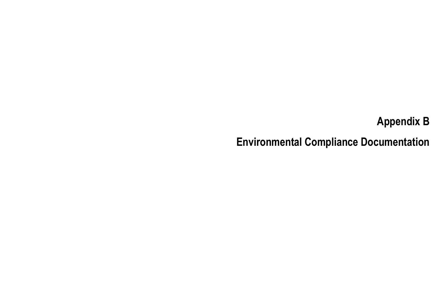# Appendix BEnvironmental Compliance Documentation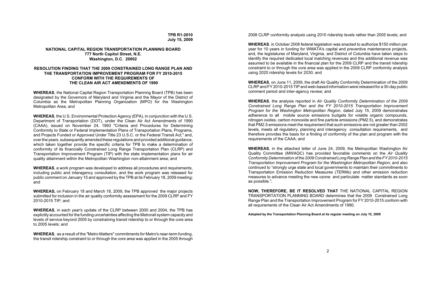**TPB R1-2010July 15, 2009**

### **NATIONAL CAPITAL REGION TRANSPORTATION PLANNING BOARD777 North Capitol Street, N.E. Washington, D.C. 20002**

### **RESOLUTION FINDING THAT THE 2009 CONSTRAINED LONG RANGE PLAN AND THE TRANSPORTATION IMPROVEMENT PROGRAM FOR FY 2010-2015CONFORM WITH THE REQUIREMENTS OF THE CLEAN AIR ACT AMENDMENTS OF 1990**

**WHEREAS**, the National Capital Region Transportation Planning Board (TPB) has been designated by the Governors of Maryland and Virginia and the Mayor of the District of Columbia as the Metropolitan Planning Organization (MPO) for the Washington Metropolitan Area; and

**WHEREAS**, the U.S. Environmental Protection Agency (EPA), in conjunction with the U.S. Department of Transportation (DOT), under the Clean Air Act Amendments of 1990 (CAAA), issued on November 24, 1993 "Criteria and Procedures for Determining Conformity to State or Federal Implementation Plans of Transportation Plans, Programs, and Projects Funded or Approved Under Title 23 U.S.C. or the Federal Transit Act," and, over the years, subsequently amended these regulations and provided additional guidance, which taken together provide the specific criteria for TPB to make a determination of conformity of its financially Constrained Long Range Transportation Plan (CLRP) and Transportation Improvement Program (TIP) with the state implementation plans for air quality attainment within the Metropolitan Washington non-attainment area; and

**WHEREAS**, a work program was developed to address all procedures and requirements, including public and interagency consultation, and the work program was released for public comment on January 15 and approved by the TPB at its February 18, 2009 meeting; and

**WHEREAS,** on February 18 and March 18, 2009, the TPB approved the major projects submitted for inclusion in the air quality conformity assessment for the 2009 CLRP and FY 2010-2015 TIP; and

**WHEREAS**, in each year's update of the CLRP between 2000 and 2004, the TPB has explicitly accounted for the funding uncertainties affecting the Metrorail system capacity and levels of service beyond 2005 by constraining transit ridership to or through the core area to 2005 levels; and

**WHEREAS**, as a result of the "Metro Matters" commitments for Metro's near-term funding, the transit ridership constraint to or through the core area was applied in the 2005 through 2008 CLRP conformity analysis using 2010 ridership levels rather than 2005 levels; and

**WHEREAS**, in October 2008 federal legislation was enacted to authorize \$150 million per year for 10 years in funding for WMATA's capital and preventive maintenance projects, and, the legislatures of Maryland, Virginia, and District of Columbia have taken steps to identify the required dedicated local matching revenues and this additional revenue was assumed to be available in the financial plan for the 2009 CLRP and the transit ridership constraint to or through the core area was applied in the 2009 CLRP conformity analysis using 2020 ridership levels for 2030; and

**WHEREAS**, on June 11, 2009, the draft Air Quality Conformity Determination of the 2009 CLRP and FY 2010-2015 TIP and web-based information were released for a 30-day public comment period and inter-agency review; and

**WHEREAS**, the analysis reported in *Air Quality Conformity Determination of the 2009 Constrained Long Range Plan and the FY 2010-2015 Transportation Improvement Program for the Washington Metropolitan Region*, dated July 15, 2009 demonstrates adherence to all mobile source emissions budgets for volatile organic compounds, nitrogen oxides, carbon monoxide and fine particle emissions (PM2.5), and demonstrates that PM2.5 emissions meet the requirement that such emissions are not greater than 2002 levels, meets all regulatory, planning and interagency consultation requirements, and therefore provides the basis for a finding of conformity of the plan and program with the requirements of the CAAA; and

**WHEREAS**, in the attached letter of June 24, 2009, the Metropolitan Washington Air Quality Committee (MWAQC) has provided favorable comments on the *Air Quality Conformity Determination of the 2009 Constrained Long Range Plan and the FY 2010-2015 Transportation Improvement Program for the Washington Metropolitan Region*, and also continued to "strongly urge state and local governments to maintain their commitments to Transportation Emission Reduction Measures (TERMs) and other emission reduction measures to advance meeting the new ozone and particulate matter standards as soon as possible.";

**NOW, THEREFORE, BE IT RESOLVED THAT** THE NATIONAL CAPITAL REGION TRANSPORTATION PLANNING BOARD determines that the 2009 Constrained Long Range Plan and the Transportation Improvement Program for FY 2010-2015 conform with all requirements of the Clean Air Act Amendments of 1990.

**Adopted by the Transportation Planning Board at its regular meeting on July 15, 2009**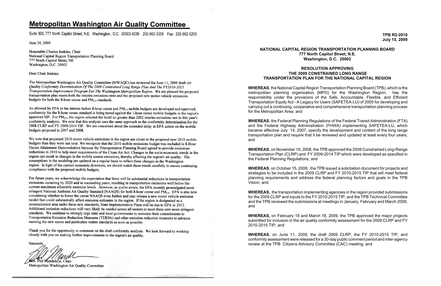## **Metropolitan Washington Air Quality Committee**

Suite 300, 777 North Capitol Street, N.E. Washington, D.C. 20002-4239 202-962-3358 Fax: 202-962-3203

June 24, 2009

Honorable Charles Jenkins, Chair National Capital Region Transportation Planning Board 777 North Capitol Street, NE Washington, D.C. 20002

### Dear Chair Jenkins:

The Metropolitan Washington Air Quality Committee (MWAQC) has reviewed the June 11, 2009 draft Air Quality Conformity Determination Of The 2009 Constrained Long Range Plan And The FY2010-2015 Transportation Improvement Program For The Washington Metropolitan Region. We are pleased the proposed transportation plan meets both the interim emissions tests and the proposed new motor vehicle emissions budgets for both the 8-hour ozone and  $PM_2$ , standards.

As allowed by EPA in the interim before 8-hour ozone and PM<sub>2.5</sub> mobile budgets are developed and approved, conformity for the 8-hour ozone standard is being tested against the 1-hour ozone mobile budgets in the region's approved SIP. For PM<sub>2.5</sub>, the region selected the build no greater than 2002 interim emissions test in this year's conformity analysis. We note that this analysis uses the same approach as the conformity determination for the 2008 CLRP and FY 2009-2014 TIP. We are concerned about the extended delay in EPA action on the mobile budgets proposed in 2007 and 2008.

We note that projected 2010 motor vehicle emissions in the region are closer to the proposed new 2010 mobile budgets than they were last year. We recognize that the 2010 mobile emissions budget was included in 8-Hour Ozone Attainment Demonstration because the Transportation Planning Board agreed to provide emissions reductions in 2010 to help meet requirements of the Clean Air Act. Changes in the socio-economic trends in the region can result in changes in the mobile source emissions, thereby affecting the region's air quality. The assumptions in the modeling are updated on a regular basis to reflect these changes in the Washington region. In light of the current economic downturn, we should watch these trends carefully to ensure continuing compliance with the proposed mobile budgets.

For future years, we acknowledge the expectation that there will be substantial reductions in transportation emissions occurring by 2020 and in succeeding years, resulting in transportation emissions well below the current maximum allowable emission levels. However, as you're aware, the EPA recently promulgated more stringent National Ambient Air Quality Standard (NAAQS) for both 8-hour ozone and  $PM_{2.5}$ . EPA is also now considering whether to lower the ozone NAAQS even further and may release a new motor vehicle emission model that could substantially affect emission estimates in the region. If the region is designated as a nonattainment area under these new standards, State Implementation Plans will be due to EPA in 2013. Additional emission reductions will very likely be needed across all sectors to meet these new more stringent standards. We continue to strongly urge state and local governments to maintain their commitments to Transportation Emission Reduction Measures (TERMs) and other emission reduction measures to advance meeting the new ozone and particulate matter standards as soon as possible.

Thank you for the opportunity to comment on the draft conformity analysis. We look forward to working closely with you on making further improvements to the region's air quality.

Sincerely

m. Phil Mendelson, Chair

Metropolitan Washington Air Quality Committee

### **NATIONAL CAPITAL REGION TRANSPORTATION PLANNING BOARD 777 North Capitol Street, N.E. Washington, D.C. 20002**

### **RESOLUTION APPROVING THE 2009 CONSTRAINED LONG RANGETRANSPORTATION PLAN FOR THE NATIONAL CAPITAL REGION**

**WHEREAS**, the National Capital Region Transportation Planning Board (TPB), which is the metropolitan planning organization (MPO) for the Washington Region, has the responsibility under the provisions of the Safe, Accountable, Flexible, and Efficient Transportation Equity Act - A Legacy for Users (SAFETEA-LU) of 2005 for developing and carrying out a continuing, cooperative and comprehensive transportation planning process for the Metropolitan Area; and

**WHEREAS**, the Federal Planning Regulations of the Federal Transit Administration (FTA) and the Federal Highway Administration (FHWA) implementing SAFETEA-LU, which became effective July 14, 2007, specify the development and content of the long range transportation plan and require that it be reviewed and updated at least every four years; and

**WHEREAS**, on November 19, 2008, the TPB approved the 2008 Constrained Long-Range Transportation Plan (CLRP) and FY 2009-2014 TIP which were developed as specified in the Federal Planning Regulations; and

**WHEREAS**, on October 15, 2008, the TPB issued a solicitation document for projects and strategies to be included in the 2009 CLRP and FY 2010-2015 TIP that will meet federal planning requirements and address the federal planning factors and goals in the TPB Vision; and

**WHEREAS,** the transportation implementing agencies in the region provided submissions for the 2009 CLRP and inputs to the FY 2010-2015 TIP, and the TPB Technical Committee and the TPB reviewed the submissions at meetings in January, February and March 2009; and

**WHEREAS,** on February 18 and March 18, 2009, the TPB approved the major projects submitted for inclusion in the air quality conformity assessment for the 2009 CLRP and FY 2010-2015 TIP; and

**WHEREAS**, on June 11, 2009, the draft 2009 CLRP, the FY 2010-2015 TIP, and conformity assessment were released for a 30-day public comment period and inter-agency review at the TPB Citizens Advisory Committee (CAC) meeting; and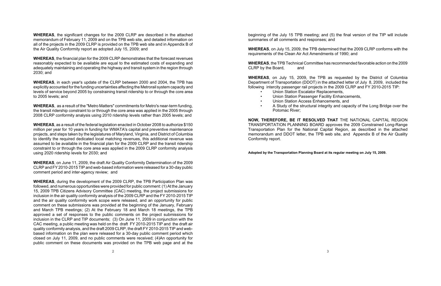**WHEREAS**, the significant changes for the 2009 CLRP are described in the attached memorandum of February 11, 2009 and on the TPB web site, and detailed information on all of the projects in the 2009 CLRP is provided on the TPB web site and in Appendix B of the Air Quality Conformity report as adopted July 15, 2009; and

**WHEREAS**, the financial plan for the 2009 CLRP demonstrates that the forecast revenues reasonably expected to be available are equal to the estimated costs of expanding and adequately maintaining and operating the highway and transit system in the region through 2030; and

**WHEREAS**, in each year's update of the CLRP between 2000 and 2004, the TPB has explicitly accounted for the funding uncertainties affecting the Metrorail system capacity and levels of service beyond 2005 by constraining transit ridership to or through the core area to 2005 levels; and

**WHEREAS**, as a result of the "Metro Matters" commitments for Metro's near-term funding, the transit ridership constraint to or through the core area was applied in the 2005 through 2008 CLRP conformity analysis using 2010 ridership levels rather than 2005 levels; and

**WHEREAS**, as a result of the federal legislation enacted in October 2008 to authorize \$150 million per year for 10 years in funding for WMATA's capital and preventive maintenance projects, and steps taken by the legislatures of Maryland, Virginia, and District of Columbia to identify the required dedicated local matching revenues, this additional revenue was assumed to be available in the financial plan for the 2009 CLRP and the transit ridership constraint to or through the core area was applied in the 2009 CLRP conformity analysis using 2020 ridership levels for 2030; and

**WHEREAS**, the TPB Technical Committee has recommended favorable action on the 2009 CLRP by the Board, and

**WHEREAS**, on June 11, 2009, the draft Air Quality Conformity Determination of the 2009 CLRP and FY 2010-2015 TIP and web-based information were released for a 30-day public comment period and inter-agency review; and

**WHEREAS**, during the development of the 2009 CLRP, the TPB Participation Plan was followed, and numerous opportunities were provided for public comment: (1) At the January 15, 2009 TPB Citizens Advisory Committee (CAC) meeting, the project submissions for inclusion in the air quality conformity analysis of the 2009 CLRP and the FY 2010-2015 TIP and the air quality conformity work scope were released, and an opportunity for public comment on these submissions was provided at the beginning of the January, February and March TPB meetings; (2) At the February 18 and March 18 meetings, the TPB approved a set of responses to the public comments on the project submissions for inclusion in the CLRP and TIP documents; (3) On June 11, 2009 in conjunction with the CAC meeting, a public meeting was held on the draft FY 2010-2015 TIP and the draft air quality conformity analysis, and the draft 2009 CLRP, the draft FY 2010-2015 TIP and webbased information on the plan were released for a 30-day public comment period which closed on July 11, 2009, and no public comments were received; (4)An opportunity for public comment on these documents was provided on the TPB web page and at the

beginning of the July 15 TPB meeting; and (5) the final version of the TIP will include summaries of all comments and responses; and

**WHEREAS**, on July 15, 2009, the TPB determined that the 2009 CLRP conforms with the requirements of the Clean Air Act Amendments of 1990; and

**WHEREAS**, on July 15, 2009, the TPB as requested by the District of Columbia Department of Transportation (DDOT) in the attached letter of July 8, 2009, included the following intercity passenger rail projects in the 2009 CLRP and FY 2010-2015 TIP:

- •Union Station Escalator Replacements,
- •Union Station Passenger Facility Enhancements,
- •Union Station Access Enhancements, and

•

A Study of the structural integrity and capacity of the Long Bridge over the

Potomac River;

**NOW, THEREFORE, BE IT RESOLVED THAT** THE NATIONAL CAPITAL REGION TRANSPORTATION PLANNING BOARD approves the 2009 Constrained Long-Range Transportation Plan for the National Capital Region, as described in the attached memorandum and DDOT letter, the TPB web site, and Appendix B of the Air Quality Conformity report.

**Adopted by the Transportation Planning Board at its regular meeting on July 15, 2009.**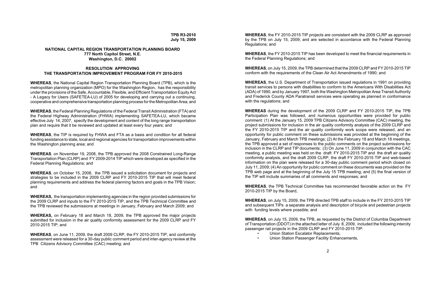### **TPB R3-2010July 15, 2009**

### **NATIONAL CAPITAL REGION TRANSPORTATION PLANNING BOARD 777 North Capitol Street, N.E. Washington, D.C. 20002**

### **RESOLUTION APPROVING THE TRANSPORTATION IMPROVEMENT PROGRAM FOR FY 2010-2015**

**WHEREAS**, the National Capital Region Transportation Planning Board (TPB), which is the metropolitan planning organization (MPO) for the Washington Region, has the responsibility under the provisions of the Safe, Accountable, Flexible, and Efficient Transportation Equity Act - A Legacy for Users (SAFETEA-LU) of 2005 for developing and carrying out a continuing, cooperative and comprehensive transportation planning process for the Metropolitan Area; and

**WHEREAS**, the Federal Planning Regulations of the Federal Transit Administration (FTA) and the Federal Highway Administration (FHWA) implementing SAFETEA-LU, which became effective July 14, 2007, specify the development and content of the long range transportation plan and require that it be reviewed and updated at least every four years; and

**WHEREAS**, the TIP is required by FHWA and FTA as a basis and condition for all federal funding assistance to state, local and regional agencies for transportation improvements within the Washington planning area; and

**WHEREAS**, on November 19, 2008, the TPB approved the 2008 Constrained Long-Range Transportation Plan (CLRP) and FY 2009-2014 TIP which were developed as specified in the Federal Planning Regulations; and

**WHEREAS**, on October 15, 2008, the TPB issued a solicitation document for projects and strategies to be included in the 2009 CLRP and FY 2010-2015 TIP that will meet federal planning requirements and address the federal planning factors and goals in the TPB Vision; and

**WHEREAS,** the transportation implementing agencies in the region provided submissions for the 2009 CLRP and inputs to the FY 2010-2015 TIP, and the TPB Technical Committee and the TPB reviewed the submissions at meetings in January, February and March 2009; and

**WHEREAS,** on February 18 and March 18, 2009, the TPB approved the major projects submitted for inclusion in the air quality conformity assessment for the 2009 CLRP and FY 2010-2015 TIP; and

**WHEREAS**, on June 11, 2009, the draft 2009 CLRP, the FY 2010-2015 TIP, and conformity assessment were released for a 30-day public comment period and inter-agency review at the TPB Citizens Advisory Committee (CAC) meeting; and

**WHEREAS**, the FY 2010-2015 TIP projects are consistent with the 2009 CLRP as approved by the TPB on July 15, 2009; and are selected in accordance with the Federal Planning Regulations; and

**WHEREAS**, the FY 2010-2015 TIP has been developed to meet the financial requirements in the Federal Planning Regulations; and

**WHEREAS**, on July 15, 2009, the TPB determined that the 2009 CLRP and FY 2010-2015 TIP conform with the requirements of the Clean Air Act Amendments of 1990; and

**WHEREAS**, the U.S. Department of Transportation issued regulations in 1991 on providing transit services to persons with disabilities to conform to the Americans With Disabilities Act (ADA) of 1990, and by January 1997, both the Washington Metropolitan Area Transit Authority and Frederick County ADA Paratransit services were operating as planned in conformance with the regulations; and

**WHEREAS** during the development of the 2009 CLRP and FY 2010-2015 TIP, the TPB Participation Plan was followed, and numerous opportunities were provided for public comment: (1) At the January 15, 2009 TPB Citizens Advisory Committee (CAC) meeting, the project submissions for inclusion in the air quality conformity analysis of the 2009 CLRP and the FY 2010-2015 TIP and the air quality conformity work scope were released, and an opportunity for public comment on these submissions was provided at the beginning of the January, February and March TPB meetings; (2) At the February 18 and March 18 meetings, the TPB approved a set of responses to the public comments on the project submissions for inclusion in the CLRP and TIP documents; (3) On June 11, 2009 in conjunction with the CAC meeting, a public meeting was held on the draft FY 2010-2015 TIP and the draft air quality conformity analysis, and the draft 2009 CLRP, the draft FY 2010-2015 TIP and web-based information on the plan were released for a 30-day public comment period which closed on July 11, 2009; (4) An opportunity for public comment on these documents was provided on the TPB web page and at the beginning of the July 15 TPB meeting; and (5) the final version of the TIP will include summaries of all comments and responses; and

**WHEREAS**, the TPB Technical Committee has recommended favorable action on the FY 2010-2015 TIP by the Board,

**WHEREAS**, on July 15, 2009, the TPB directed TPB staff to include in the FY 2010-2015 TIP and subsequent TIPs a separate analysis and description of bicycle and pedestrian projects with funding levels where possible; and

**WHEREAS**, on July 15, 2009, the TPB, as requested by the District of Columbia Department of Transportation (DDOT) in the attached letter of July 8, 2009, included the following intercity passenger rail projects in the 2009 CLRP and FY 2010-2015 TIP: •Union Station Escalator Replacements,

•

- 
- Union Station Passenger Facility Enhancements,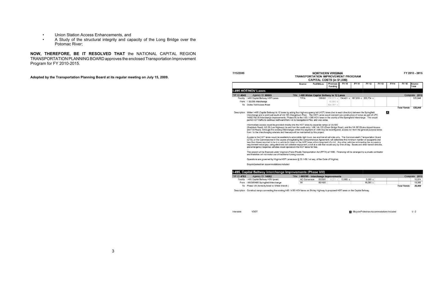### **MPROVEMENT PROGRAM** OSTS (in \$1,000) Previous **FY 10** FY 11 **FY 12 FY13 FY14** FY 15 Source<br>Total **Funding** Complete: 2013 **Itway to 12 Lanes** 230,573 a 134,421 c 187,653 c 203,774 c 525,848  $42,000 b$ 804,787 c 525,848 Total Funds: r) lanes (two in each direction) between the Springfield<br>s would connect (via construction of ramps as part of UPC<br>is in the vicinity of the Springfield Interchange. This would රං rsa. mps at VA 620<br>(Chain Bridge Road), and the VA 267(Dules Airport Access<br>ly be reconfigured, access to / from the general-purpose lanes nsit vehicles only. The Commonwealth Transportation Board

TA) of 1995. Financing will be arranged by a private contractor

ode of Virginia).

|   | Improvements        |  | Complete: 2013 |                     |        |  |  |
|---|---------------------|--|----------------|---------------------|--------|--|--|
| O | 8.221 c<br>10,985 c |  | 5.089c         |                     | 16,074 |  |  |
| 0 |                     |  | 19,395 с       |                     | 19,395 |  |  |
|   |                     |  |                | <b>Total Funds:</b> | 35,469 |  |  |

Description: Construct ramps connecting the existing I-95 / I-395 HOV lanes on Shirley Highway to proposed HOT lanes on the Capital Beltway.

Bicycle/Pedestrian Accommodations Included

 $V - 2$ 

FY 2010 - 2015

**NORTHERN VIRGINIA** 

ment, will determine the minimum number of occupants (not<br>ment of a toll. Any other vehicles not meeting the occupants t would vary by time of day. Buses and other transit vehicles,

- •Union Station Access Enhancements, and
- • A Study of the structural integrity and capacity of the Long Bridge over the Potomac River;

**NOW, THEREFORE, BE IT RESOLVED THAT** the NATIONAL CAPITAL REGION TRANSPORTATION PLANNING BOARD approves the enclosed Transportation Improvement Program for FY 2010-2015.

**Adopted by the Transportation Planning Board at its regular meeting on July 15, 2009.**

| 7/15/2009    |                                                                                                                                                                                                                                                                                                                                                                                                                                                                                                                                         | <b>NORTHEI</b><br><b>TRANSPORTATION IN</b><br><b>CAPITAL CO</b> |  |            |  |  |
|--------------|-----------------------------------------------------------------------------------------------------------------------------------------------------------------------------------------------------------------------------------------------------------------------------------------------------------------------------------------------------------------------------------------------------------------------------------------------------------------------------------------------------------------------------------------|-----------------------------------------------------------------|--|------------|--|--|
|              |                                                                                                                                                                                                                                                                                                                                                                                                                                                                                                                                         | <b>Source</b>                                                   |  | Fed/St/Loc |  |  |
|              | I-495 HOT/HOV Lanes                                                                                                                                                                                                                                                                                                                                                                                                                                                                                                                     |                                                                 |  |            |  |  |
| TIP ID: 4545 | Agency ID: 68805                                                                                                                                                                                                                                                                                                                                                                                                                                                                                                                        | Title: 1-495 Widen Capital Bel                                  |  |            |  |  |
|              | Facility: 1495 Capital Beltway HOT Lanes                                                                                                                                                                                                                                                                                                                                                                                                                                                                                                | <b>TIFIA</b>                                                    |  | 100/0/0    |  |  |
|              | From:   95/395 Interchange                                                                                                                                                                                                                                                                                                                                                                                                                                                                                                              |                                                                 |  |            |  |  |
|              | To: Dulles Toll/Access Road                                                                                                                                                                                                                                                                                                                                                                                                                                                                                                             |                                                                 |  |            |  |  |
|              | Description: Widen I-495 (Capital Beltway) to 12 lanes by adding four high-occupancy toll (HOT)<br>Interchange and a point just south of VA 193 (Georgetown Pike). The HOT Lanes y<br>14682 Rte 95 Interchange Improvements, Phase VIII) to the I-95 / I-395 HOV lanes<br>permit HOT traffic to continue northward from I-95 to Georgetown Pike, and vice ver<br>Intermediate access would be provided directly onto the HOT lanes by separate ram<br>(Braddock Road), US 29 (Lee Highway) (to and from the south only), I-66, VA 123 ( |                                                                 |  |            |  |  |
|              | and Toll Road). Although the existing interchanges within this segment of I-495 may<br>from / to the interchanging arterials and freeways will be maintained by this project.<br>n.                                                                                                                                                                                                                                                                                                                                                     |                                                                 |  |            |  |  |
|              | Access to the HOT lanes would be available to automobile, light truck, bus and trans<br>(CTB), or the Commissioner in the course of negotiating the Comprehensive Agreer<br>less than three) required to be in a vehicle for travel on the HOT lanes without paym<br>requirement would pay, using electronic toll collection equipment, a toll at a rate that<br>and emergency response vehicles would operate on the HOT lanes for free.                                                                                               |                                                                 |  |            |  |  |
|              | This project will be financed under Virginia's Public-Private Transportation Act (PPT.<br>and therefore will not make use of traditional funding sources.                                                                                                                                                                                                                                                                                                                                                                               |                                                                 |  |            |  |  |
|              | Operations are governed by Virginia HOT Lanes laws (§ 33.1-56.1 et seq. of the Co                                                                                                                                                                                                                                                                                                                                                                                                                                                       |                                                                 |  |            |  |  |
|              | Bicycle/pedestrian accommodations included                                                                                                                                                                                                                                                                                                                                                                                                                                                                                              |                                                                 |  |            |  |  |
|              | I-495, Capital Beltway Interchange Improvements (Phase VIII)                                                                                                                                                                                                                                                                                                                                                                                                                                                                            |                                                                 |  |            |  |  |
| TIP ID: 4783 | Agency ID: 14682                                                                                                                                                                                                                                                                                                                                                                                                                                                                                                                        | Title: I 495/195 - Interchange I                                |  |            |  |  |
|              | Facility: 1495 Capital Beltway HOV (peak)                                                                                                                                                                                                                                                                                                                                                                                                                                                                                               | <b>AC Conversion</b>                                            |  | 80/20/0    |  |  |
|              | From: 195/395/495 Springfield Interchange                                                                                                                                                                                                                                                                                                                                                                                                                                                                                               | IM                                                              |  | 90/10/0    |  |  |

To: Phase VIII (formerly listed w/ S'field Interch.)

Interstate VDOT